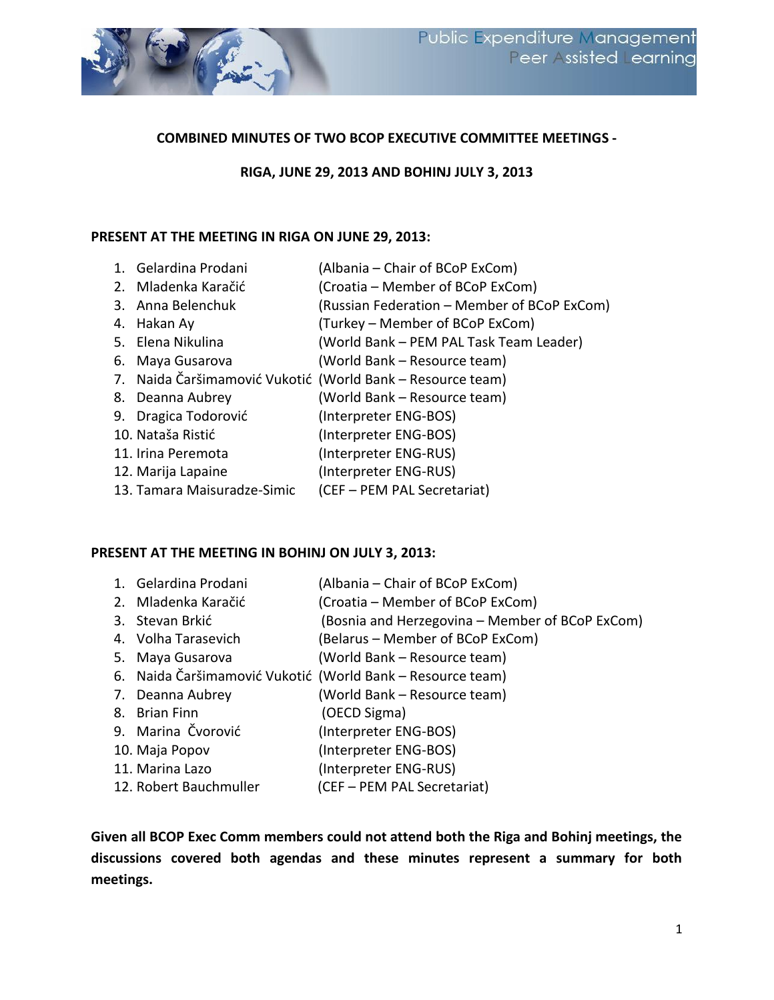

### **COMBINED MINUTES OF TWO BCOP EXECUTIVE COMMITTEE MEETINGS -**

### **RIGA, JUNE 29, 2013 AND BOHINJ JULY 3, 2013**

#### **PRESENT AT THE MEETING IN RIGA ON JUNE 29, 2013:**

| 1. Gelardina Prodani        | (Albania – Chair of BCoP ExCom)                            |
|-----------------------------|------------------------------------------------------------|
| 2. Mladenka Karačić         | (Croatia – Member of BCoP ExCom)                           |
| 3. Anna Belenchuk           | (Russian Federation - Member of BCoP ExCom)                |
| 4. Hakan Ay                 | (Turkey – Member of BCoP ExCom)                            |
| 5. Elena Nikulina           | (World Bank - PEM PAL Task Team Leader)                    |
| 6. Maya Gusarova            | (World Bank - Resource team)                               |
|                             | 7. Naida Čaršimamović Vukotić (World Bank – Resource team) |
| 8. Deanna Aubrey            | (World Bank - Resource team)                               |
| 9. Dragica Todorović        | (Interpreter ENG-BOS)                                      |
| 10. Nataša Ristić           | (Interpreter ENG-BOS)                                      |
| 11. Irina Peremota          | (Interpreter ENG-RUS)                                      |
| 12. Marija Lapaine          | (Interpreter ENG-RUS)                                      |
| 13. Tamara Maisuradze-Simic | (CEF - PEM PAL Secretariat)                                |

#### **PRESENT AT THE MEETING IN BOHINJ ON JULY 3, 2013:**

| 1. Gelardina Prodani   | (Albania – Chair of BCoP ExCom)                            |
|------------------------|------------------------------------------------------------|
| 2. Mladenka Karačić    | (Croatia – Member of BCoP ExCom)                           |
| 3. Stevan Brkić        | (Bosnia and Herzegovina – Member of BCoP ExCom)            |
| 4. Volha Tarasevich    | (Belarus – Member of BCoP ExCom)                           |
| 5. Maya Gusarova       | (World Bank – Resource team)                               |
|                        | 6. Naida Čaršimamović Vukotić (World Bank – Resource team) |
| 7. Deanna Aubrey       | (World Bank – Resource team)                               |
| 8. Brian Finn          | (OECD Sigma)                                               |
| 9. Marina Čvorović     | (Interpreter ENG-BOS)                                      |
| 10. Maja Popov         | (Interpreter ENG-BOS)                                      |
| 11. Marina Lazo        | (Interpreter ENG-RUS)                                      |
| 12. Robert Bauchmuller | (CEF - PEM PAL Secretariat)                                |

**Given all BCOP Exec Comm members could not attend both the Riga and Bohinj meetings, the discussions covered both agendas and these minutes represent a summary for both meetings.**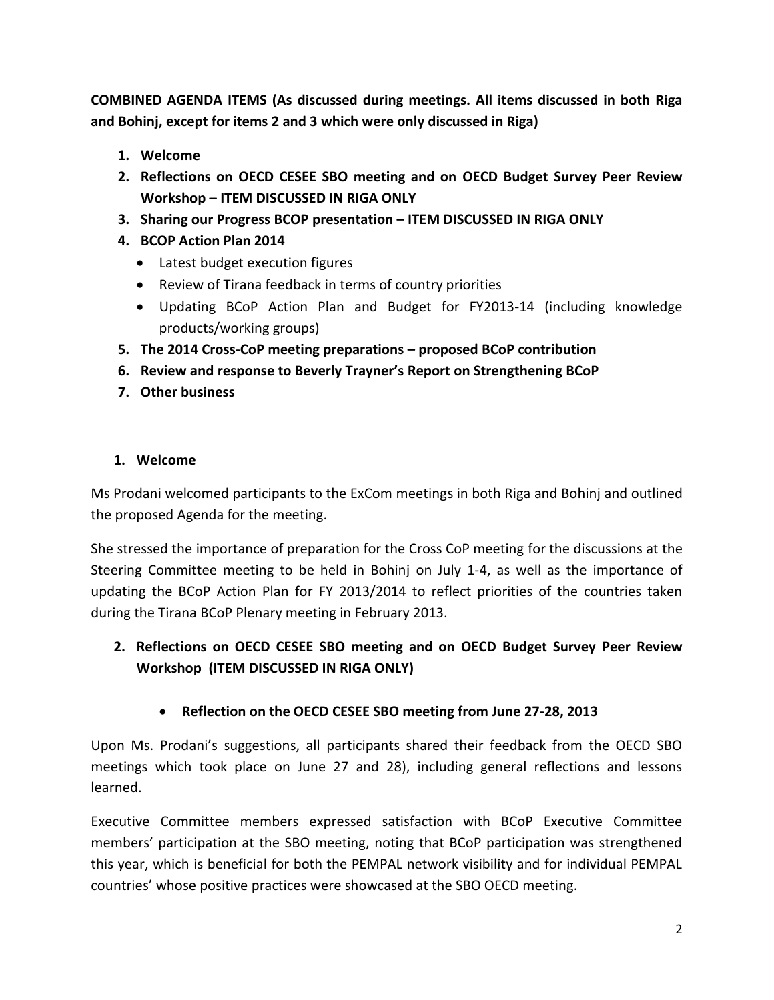**COMBINED AGENDA ITEMS (As discussed during meetings. All items discussed in both Riga and Bohinj, except for items 2 and 3 which were only discussed in Riga)**

- **1. Welcome**
- **2. Reflections on OECD CESEE SBO meeting and on OECD Budget Survey Peer Review Workshop – ITEM DISCUSSED IN RIGA ONLY**
- **3. Sharing our Progress BCOP presentation – ITEM DISCUSSED IN RIGA ONLY**
- **4. BCOP Action Plan 2014** 
	- Latest budget execution figures
	- Review of Tirana feedback in terms of country priorities
	- Updating BCoP Action Plan and Budget for FY2013-14 (including knowledge products/working groups)
- **5. The 2014 Cross-CoP meeting preparations – proposed BCoP contribution**
- **6. Review and response to Beverly Trayner's Report on Strengthening BCoP**
- **7. Other business**

### **1. Welcome**

Ms Prodani welcomed participants to the ExCom meetings in both Riga and Bohinj and outlined the proposed Agenda for the meeting.

She stressed the importance of preparation for the Cross CoP meeting for the discussions at the Steering Committee meeting to be held in Bohinj on July 1-4, as well as the importance of updating the BCoP Action Plan for FY 2013/2014 to reflect priorities of the countries taken during the Tirana BCoP Plenary meeting in February 2013.

- **2. Reflections on OECD CESEE SBO meeting and on OECD Budget Survey Peer Review Workshop (ITEM DISCUSSED IN RIGA ONLY)**
	- **Reflection on the OECD CESEE SBO meeting from June 27-28, 2013**

Upon Ms. Prodani's suggestions, all participants shared their feedback from the OECD SBO meetings which took place on June 27 and 28), including general reflections and lessons learned.

Executive Committee members expressed satisfaction with BCoP Executive Committee members' participation at the SBO meeting, noting that BCoP participation was strengthened this year, which is beneficial for both the PEMPAL network visibility and for individual PEMPAL countries' whose positive practices were showcased at the SBO OECD meeting.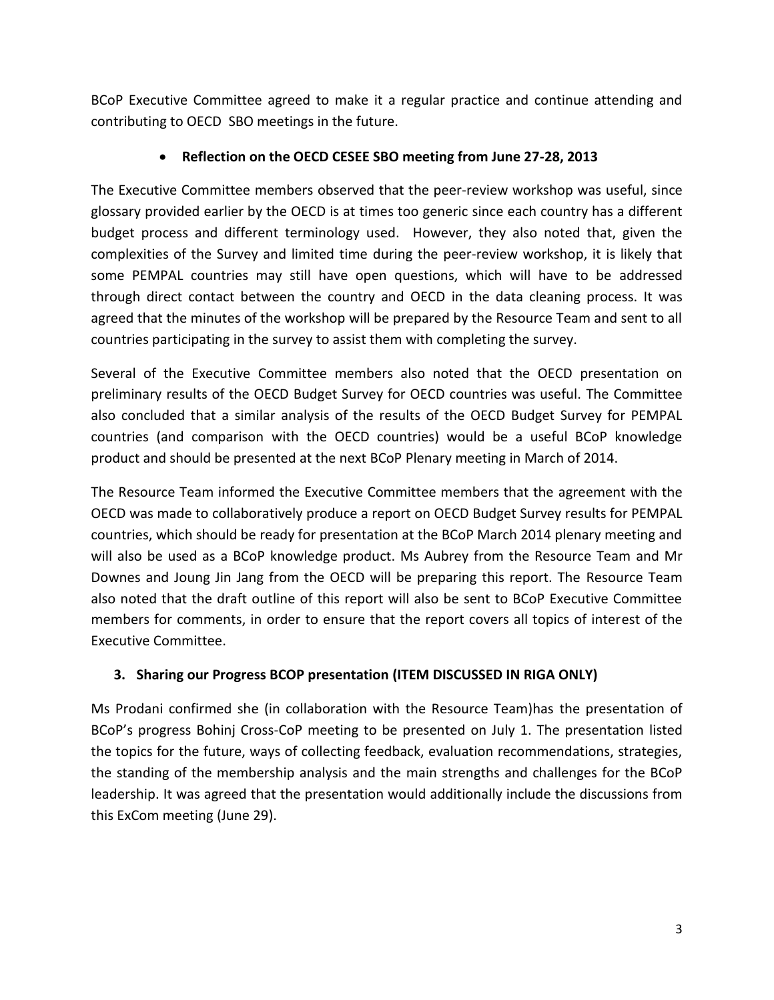BCoP Executive Committee agreed to make it a regular practice and continue attending and contributing to OECD SBO meetings in the future.

# **Reflection on the OECD CESEE SBO meeting from June 27-28, 2013**

The Executive Committee members observed that the peer-review workshop was useful, since glossary provided earlier by the OECD is at times too generic since each country has a different budget process and different terminology used. However, they also noted that, given the complexities of the Survey and limited time during the peer-review workshop, it is likely that some PEMPAL countries may still have open questions, which will have to be addressed through direct contact between the country and OECD in the data cleaning process. It was agreed that the minutes of the workshop will be prepared by the Resource Team and sent to all countries participating in the survey to assist them with completing the survey.

Several of the Executive Committee members also noted that the OECD presentation on preliminary results of the OECD Budget Survey for OECD countries was useful. The Committee also concluded that a similar analysis of the results of the OECD Budget Survey for PEMPAL countries (and comparison with the OECD countries) would be a useful BCoP knowledge product and should be presented at the next BCoP Plenary meeting in March of 2014.

The Resource Team informed the Executive Committee members that the agreement with the OECD was made to collaboratively produce a report on OECD Budget Survey results for PEMPAL countries, which should be ready for presentation at the BCoP March 2014 plenary meeting and will also be used as a BCoP knowledge product. Ms Aubrey from the Resource Team and Mr Downes and Joung Jin Jang from the OECD will be preparing this report. The Resource Team also noted that the draft outline of this report will also be sent to BCoP Executive Committee members for comments, in order to ensure that the report covers all topics of interest of the Executive Committee.

# **3. Sharing our Progress BCOP presentation (ITEM DISCUSSED IN RIGA ONLY)**

Ms Prodani confirmed she (in collaboration with the Resource Team)has the presentation of BCoP's progress Bohinj Cross-CoP meeting to be presented on July 1. The presentation listed the topics for the future, ways of collecting feedback, evaluation recommendations, strategies, the standing of the membership analysis and the main strengths and challenges for the BCoP leadership. It was agreed that the presentation would additionally include the discussions from this ExCom meeting (June 29).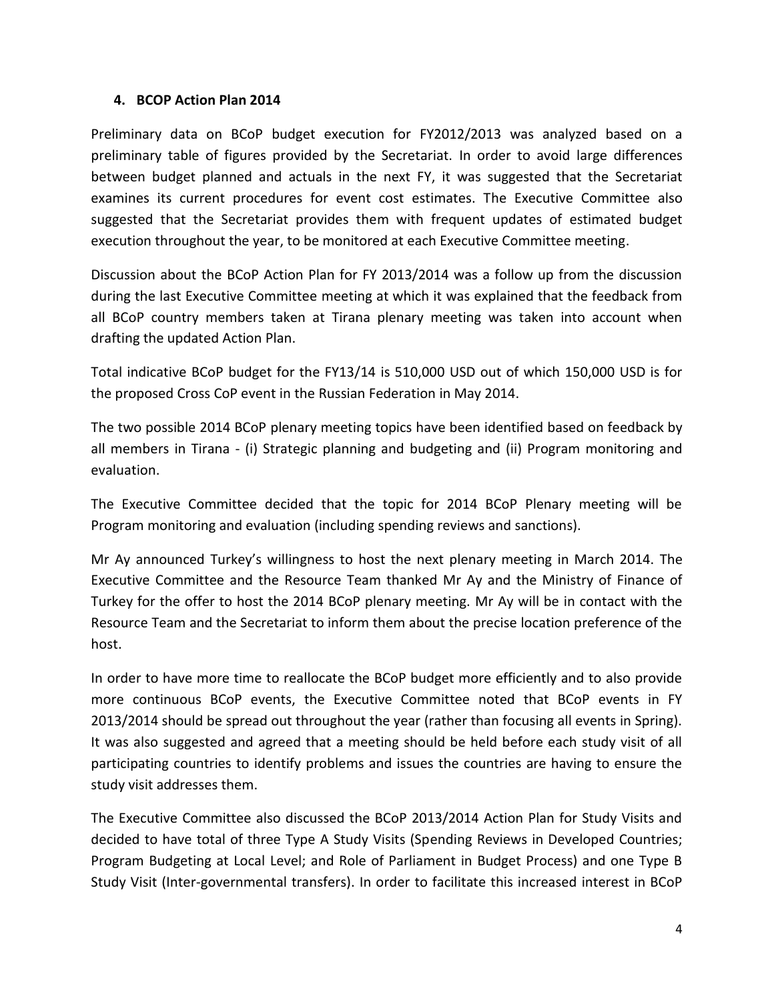### **4. BCOP Action Plan 2014**

Preliminary data on BCoP budget execution for FY2012/2013 was analyzed based on a preliminary table of figures provided by the Secretariat. In order to avoid large differences between budget planned and actuals in the next FY, it was suggested that the Secretariat examines its current procedures for event cost estimates. The Executive Committee also suggested that the Secretariat provides them with frequent updates of estimated budget execution throughout the year, to be monitored at each Executive Committee meeting.

Discussion about the BCoP Action Plan for FY 2013/2014 was a follow up from the discussion during the last Executive Committee meeting at which it was explained that the feedback from all BCoP country members taken at Tirana plenary meeting was taken into account when drafting the updated Action Plan.

Total indicative BCoP budget for the FY13/14 is 510,000 USD out of which 150,000 USD is for the proposed Cross CoP event in the Russian Federation in May 2014.

The two possible 2014 BCoP plenary meeting topics have been identified based on feedback by all members in Tirana - (i) Strategic planning and budgeting and (ii) Program monitoring and evaluation.

The Executive Committee decided that the topic for 2014 BCoP Plenary meeting will be Program monitoring and evaluation (including spending reviews and sanctions).

Mr Ay announced Turkey's willingness to host the next plenary meeting in March 2014. The Executive Committee and the Resource Team thanked Mr Ay and the Ministry of Finance of Turkey for the offer to host the 2014 BCoP plenary meeting. Mr Ay will be in contact with the Resource Team and the Secretariat to inform them about the precise location preference of the host.

In order to have more time to reallocate the BCoP budget more efficiently and to also provide more continuous BCoP events, the Executive Committee noted that BCoP events in FY 2013/2014 should be spread out throughout the year (rather than focusing all events in Spring). It was also suggested and agreed that a meeting should be held before each study visit of all participating countries to identify problems and issues the countries are having to ensure the study visit addresses them.

The Executive Committee also discussed the BCoP 2013/2014 Action Plan for Study Visits and decided to have total of three Type A Study Visits (Spending Reviews in Developed Countries; Program Budgeting at Local Level; and Role of Parliament in Budget Process) and one Type B Study Visit (Inter-governmental transfers). In order to facilitate this increased interest in BCoP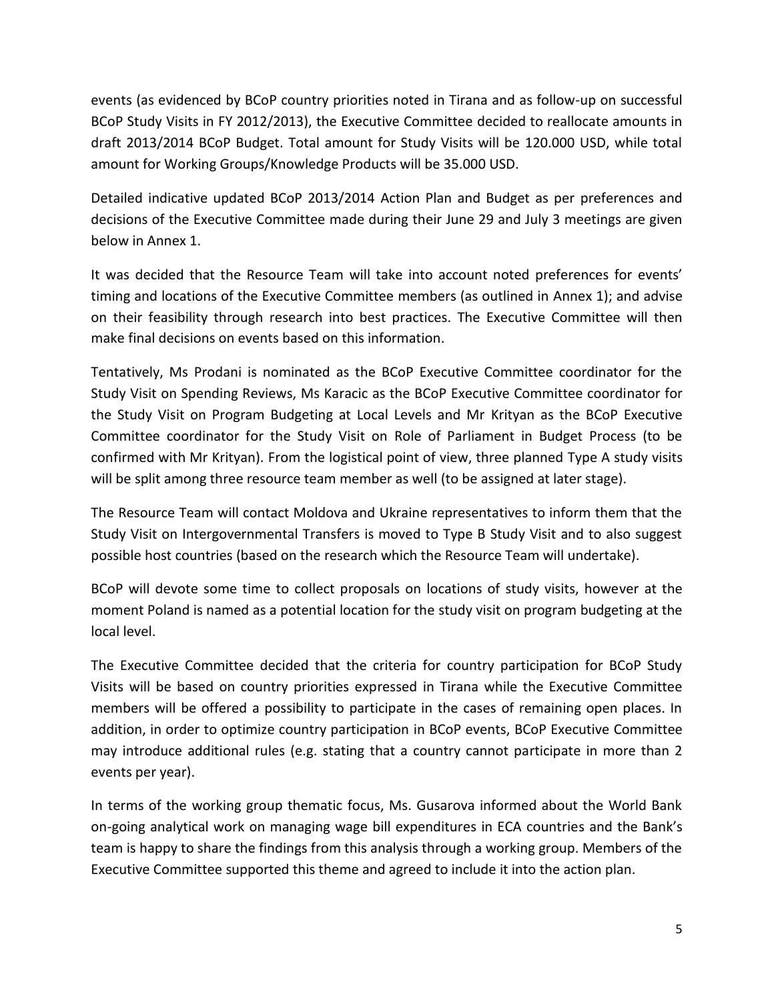events (as evidenced by BCoP country priorities noted in Tirana and as follow-up on successful BCoP Study Visits in FY 2012/2013), the Executive Committee decided to reallocate amounts in draft 2013/2014 BCoP Budget. Total amount for Study Visits will be 120.000 USD, while total amount for Working Groups/Knowledge Products will be 35.000 USD.

Detailed indicative updated BCoP 2013/2014 Action Plan and Budget as per preferences and decisions of the Executive Committee made during their June 29 and July 3 meetings are given below in Annex 1.

It was decided that the Resource Team will take into account noted preferences for events' timing and locations of the Executive Committee members (as outlined in Annex 1); and advise on their feasibility through research into best practices. The Executive Committee will then make final decisions on events based on this information.

Tentatively, Ms Prodani is nominated as the BCoP Executive Committee coordinator for the Study Visit on Spending Reviews, Ms Karacic as the BCoP Executive Committee coordinator for the Study Visit on Program Budgeting at Local Levels and Mr Krityan as the BCoP Executive Committee coordinator for the Study Visit on Role of Parliament in Budget Process (to be confirmed with Mr Krityan). From the logistical point of view, three planned Type A study visits will be split among three resource team member as well (to be assigned at later stage).

The Resource Team will contact Moldova and Ukraine representatives to inform them that the Study Visit on Intergovernmental Transfers is moved to Type B Study Visit and to also suggest possible host countries (based on the research which the Resource Team will undertake).

BCoP will devote some time to collect proposals on locations of study visits, however at the moment Poland is named as a potential location for the study visit on program budgeting at the local level.

The Executive Committee decided that the criteria for country participation for BCoP Study Visits will be based on country priorities expressed in Tirana while the Executive Committee members will be offered a possibility to participate in the cases of remaining open places. In addition, in order to optimize country participation in BCoP events, BCoP Executive Committee may introduce additional rules (e.g. stating that a country cannot participate in more than 2 events per year).

In terms of the working group thematic focus, Ms. Gusarova informed about the World Bank on-going analytical work on managing wage bill expenditures in ECA countries and the Bank's team is happy to share the findings from this analysis through a working group. Members of the Executive Committee supported this theme and agreed to include it into the action plan.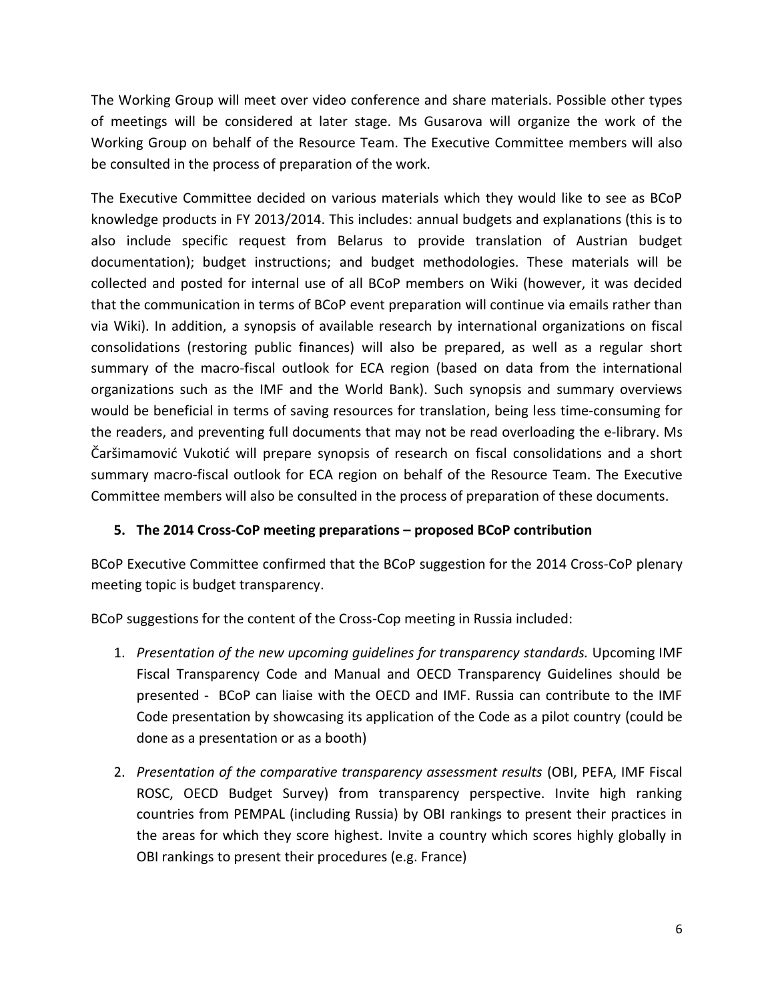The Working Group will meet over video conference and share materials. Possible other types of meetings will be considered at later stage. Ms Gusarova will organize the work of the Working Group on behalf of the Resource Team. The Executive Committee members will also be consulted in the process of preparation of the work.

The Executive Committee decided on various materials which they would like to see as BCoP knowledge products in FY 2013/2014. This includes: annual budgets and explanations (this is to also include specific request from Belarus to provide translation of Austrian budget documentation); budget instructions; and budget methodologies. These materials will be collected and posted for internal use of all BCoP members on Wiki (however, it was decided that the communication in terms of BCoP event preparation will continue via emails rather than via Wiki). In addition, a synopsis of available research by international organizations on fiscal consolidations (restoring public finances) will also be prepared, as well as a regular short summary of the macro-fiscal outlook for ECA region (based on data from the international organizations such as the IMF and the World Bank). Such synopsis and summary overviews would be beneficial in terms of saving resources for translation, being less time-consuming for the readers, and preventing full documents that may not be read overloading the e-library. Ms Čaršimamović Vukotić will prepare synopsis of research on fiscal consolidations and a short summary macro-fiscal outlook for ECA region on behalf of the Resource Team. The Executive Committee members will also be consulted in the process of preparation of these documents.

## **5. The 2014 Cross-CoP meeting preparations – proposed BCoP contribution**

BCoP Executive Committee confirmed that the BCoP suggestion for the 2014 Cross-CoP plenary meeting topic is budget transparency.

BCoP suggestions for the content of the Cross-Cop meeting in Russia included:

- 1. *Presentation of the new upcoming guidelines for transparency standards.* Upcoming IMF Fiscal Transparency Code and Manual and OECD Transparency Guidelines should be presented - BCoP can liaise with the OECD and IMF. Russia can contribute to the IMF Code presentation by showcasing its application of the Code as a pilot country (could be done as a presentation or as a booth)
- 2. *Presentation of the comparative transparency assessment results* (OBI, PEFA, IMF Fiscal ROSC, OECD Budget Survey) from transparency perspective. Invite high ranking countries from PEMPAL (including Russia) by OBI rankings to present their practices in the areas for which they score highest. Invite a country which scores highly globally in OBI rankings to present their procedures (e.g. France)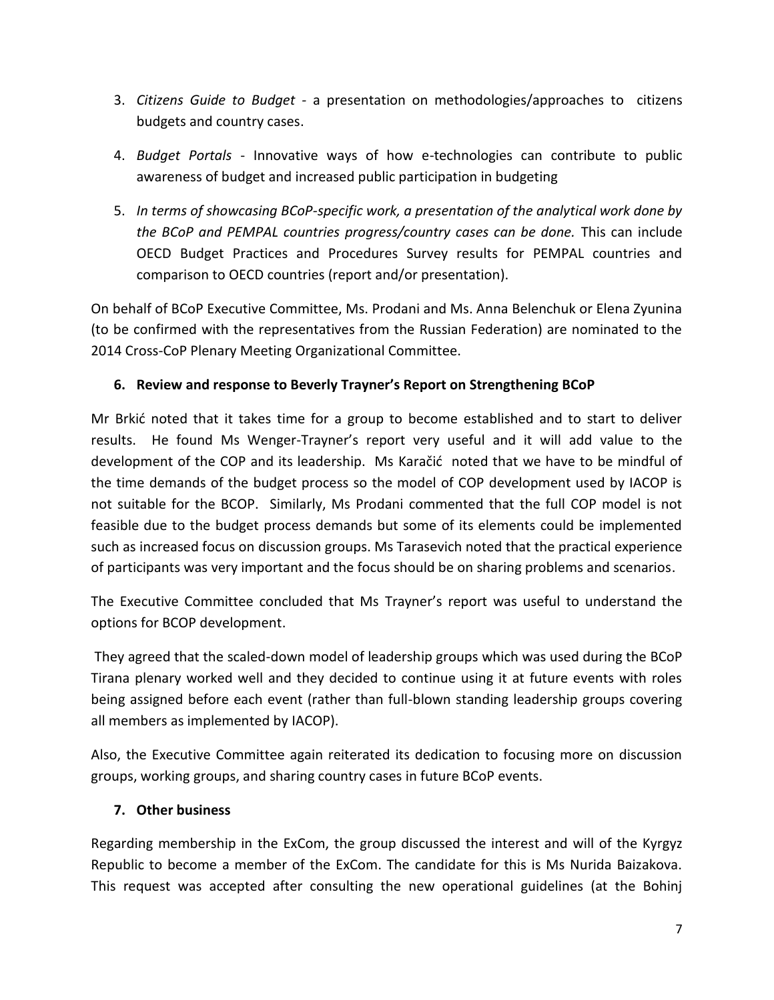- 3. *Citizens Guide to Budget -* a presentation on methodologies/approaches to citizens budgets and country cases.
- 4. *Budget Portals* Innovative ways of how e-technologies can contribute to public awareness of budget and increased public participation in budgeting
- 5. *In terms of showcasing BCoP-specific work, a presentation of the analytical work done by the BCoP and PEMPAL countries progress/country cases can be done.* This can include OECD Budget Practices and Procedures Survey results for PEMPAL countries and comparison to OECD countries (report and/or presentation).

On behalf of BCoP Executive Committee, Ms. Prodani and Ms. Anna Belenchuk or Elena Zyunina (to be confirmed with the representatives from the Russian Federation) are nominated to the 2014 Cross-CoP Plenary Meeting Organizational Committee.

# **6. Review and response to Beverly Trayner's Report on Strengthening BCoP**

Mr Brkić noted that it takes time for a group to become established and to start to deliver results. He found Ms Wenger-Trayner's report very useful and it will add value to the development of the COP and its leadership. Ms Karačić noted that we have to be mindful of the time demands of the budget process so the model of COP development used by IACOP is not suitable for the BCOP. Similarly, Ms Prodani commented that the full COP model is not feasible due to the budget process demands but some of its elements could be implemented such as increased focus on discussion groups. Ms Tarasevich noted that the practical experience of participants was very important and the focus should be on sharing problems and scenarios.

The Executive Committee concluded that Ms Trayner's report was useful to understand the options for BCOP development.

They agreed that the scaled-down model of leadership groups which was used during the BCoP Tirana plenary worked well and they decided to continue using it at future events with roles being assigned before each event (rather than full-blown standing leadership groups covering all members as implemented by IACOP).

Also, the Executive Committee again reiterated its dedication to focusing more on discussion groups, working groups, and sharing country cases in future BCoP events.

## **7. Other business**

Regarding membership in the ExCom, the group discussed the interest and will of the Kyrgyz Republic to become a member of the ExCom. The candidate for this is Ms Nurida Baizakova. This request was accepted after consulting the new operational guidelines (at the Bohinj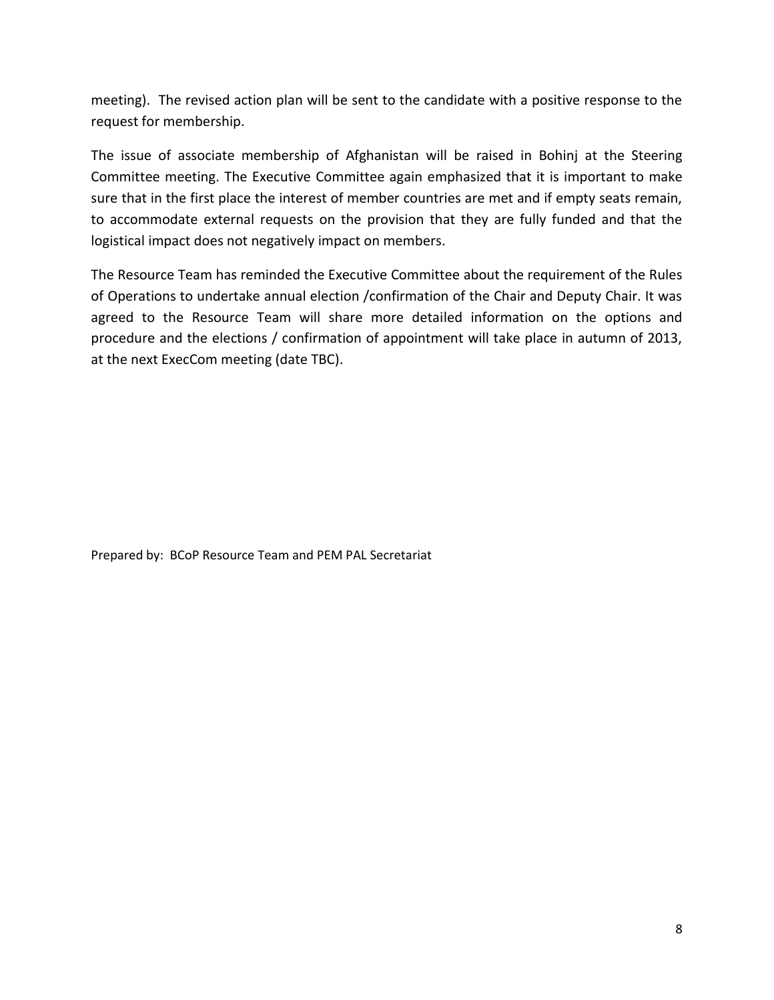meeting). The revised action plan will be sent to the candidate with a positive response to the request for membership.

The issue of associate membership of Afghanistan will be raised in Bohinj at the Steering Committee meeting. The Executive Committee again emphasized that it is important to make sure that in the first place the interest of member countries are met and if empty seats remain, to accommodate external requests on the provision that they are fully funded and that the logistical impact does not negatively impact on members.

The Resource Team has reminded the Executive Committee about the requirement of the Rules of Operations to undertake annual election /confirmation of the Chair and Deputy Chair. It was agreed to the Resource Team will share more detailed information on the options and procedure and the elections / confirmation of appointment will take place in autumn of 2013, at the next ExecCom meeting (date TBC).

Prepared by: BCoP Resource Team and PEM PAL Secretariat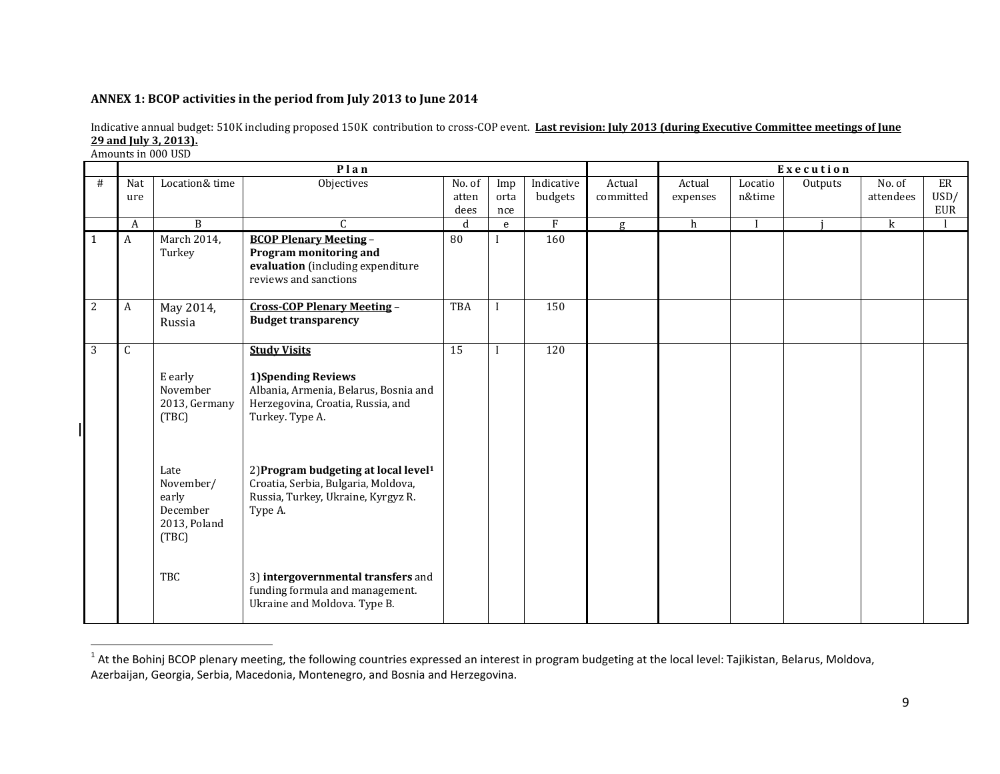#### **ANNEX 1: BCOP activities in the period from July 2013 to June 2014**

l

|                | Plan        |                |                                                  |                 |                  |            |           | Execution    |         |         |             |             |
|----------------|-------------|----------------|--------------------------------------------------|-----------------|------------------|------------|-----------|--------------|---------|---------|-------------|-------------|
| #              | Nat         | Location& time | Objectives                                       | No. of          | Imp              | Indicative | Actual    | Actual       | Locatio | Outputs | No. of      | ER          |
|                | ure         |                |                                                  | atten           | orta             | budgets    | committed | expenses     | n&time  |         | attendees   | USD/<br>EUR |
|                | A           | B              | $\mathcal{C}$                                    | dees<br>d       | nce<br>${\bf e}$ | F          | g         | $\mathbf{h}$ |         |         | $\mathbf k$ |             |
| $\mathbf{1}$   | A           | March 2014,    | <b>BCOP Plenary Meeting -</b>                    | 80              |                  | 160        |           |              |         |         |             |             |
|                |             | Turkey         | Program monitoring and                           |                 |                  |            |           |              |         |         |             |             |
|                |             |                | evaluation (including expenditure                |                 |                  |            |           |              |         |         |             |             |
|                |             |                | reviews and sanctions                            |                 |                  |            |           |              |         |         |             |             |
|                |             |                |                                                  |                 |                  |            |           |              |         |         |             |             |
| $\overline{2}$ | A           | May 2014,      | <b>Cross-COP Plenary Meeting -</b>               | <b>TBA</b>      |                  | 150        |           |              |         |         |             |             |
|                |             | Russia         | <b>Budget transparency</b>                       |                 |                  |            |           |              |         |         |             |             |
|                |             |                |                                                  |                 |                  |            |           |              |         |         |             |             |
| $\overline{3}$ | $\mathsf C$ |                | <b>Study Visits</b>                              | $\overline{15}$ |                  | 120        |           |              |         |         |             |             |
|                |             | E early        | <b>1)Spending Reviews</b>                        |                 |                  |            |           |              |         |         |             |             |
|                |             | November       | Albania, Armenia, Belarus, Bosnia and            |                 |                  |            |           |              |         |         |             |             |
|                |             | 2013, Germany  | Herzegovina, Croatia, Russia, and                |                 |                  |            |           |              |         |         |             |             |
|                |             | (TBC)          | Turkey. Type A.                                  |                 |                  |            |           |              |         |         |             |             |
|                |             |                |                                                  |                 |                  |            |           |              |         |         |             |             |
|                |             |                |                                                  |                 |                  |            |           |              |         |         |             |             |
|                |             | Late           | 2) Program budgeting at local level <sup>1</sup> |                 |                  |            |           |              |         |         |             |             |
|                |             | November/      | Croatia, Serbia, Bulgaria, Moldova,              |                 |                  |            |           |              |         |         |             |             |
|                |             | early          | Russia, Turkey, Ukraine, Kyrgyz R.               |                 |                  |            |           |              |         |         |             |             |
|                |             | December       | Type A.                                          |                 |                  |            |           |              |         |         |             |             |
|                |             | 2013, Poland   |                                                  |                 |                  |            |           |              |         |         |             |             |
|                |             | (TBC)          |                                                  |                 |                  |            |           |              |         |         |             |             |
|                |             |                |                                                  |                 |                  |            |           |              |         |         |             |             |
|                |             | TBC            | 3) intergovernmental transfers and               |                 |                  |            |           |              |         |         |             |             |
|                |             |                | funding formula and management.                  |                 |                  |            |           |              |         |         |             |             |
|                |             |                | Ukraine and Moldova. Type B.                     |                 |                  |            |           |              |         |         |             |             |
|                |             |                |                                                  |                 |                  |            |           |              |         |         |             |             |

Indicative annual budget: 510K including proposed 150K contribution to cross-COP event. **Last revision: July 2013 (during Executive Committee meetings of June 29 and July 3, 2013).** Amounts in 000 USD

 $^1$  At the Bohinj BCOP plenary meeting, the following countries expressed an interest in program budgeting at the local level: Tajikistan, Belarus, Moldova, Azerbaijan, Georgia, Serbia, Macedonia, Montenegro, and Bosnia and Herzegovina.